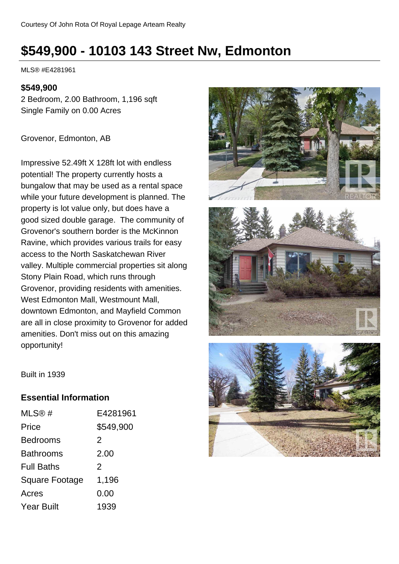# **\$549,900 - 10103 143 Street Nw, Edmonton**

MLS® #E4281961

#### **\$549,900**

2 Bedroom, 2.00 Bathroom, 1,196 sqft Single Family on 0.00 Acres

Grovenor, Edmonton, AB

Impressive 52.49ft X 128ft lot with endless potential! The property currently hosts a bungalow that may be used as a rental space while your future development is planned. The property is lot value only, but does have a good sized double garage. The community of Grovenor's southern border is the McKinnon Ravine, which provides various trails for easy access to the North Saskatchewan River valley. Multiple commercial properties sit along Stony Plain Road, which runs through Grovenor, providing residents with amenities. West Edmonton Mall, Westmount Mall, downtown Edmonton, and Mayfield Common are all in close proximity to Grovenor for added amenities. Don't miss out on this amazing opportunity!







Built in 1939

#### **Essential Information**

| MLS@#                 | E4281961  |
|-----------------------|-----------|
| Price                 | \$549,900 |
| <b>Bedrooms</b>       | 2         |
| <b>Bathrooms</b>      | 2.00      |
| <b>Full Baths</b>     | 2         |
| <b>Square Footage</b> | 1,196     |
| Acres                 | 0.00      |
| <b>Year Built</b>     | 1939      |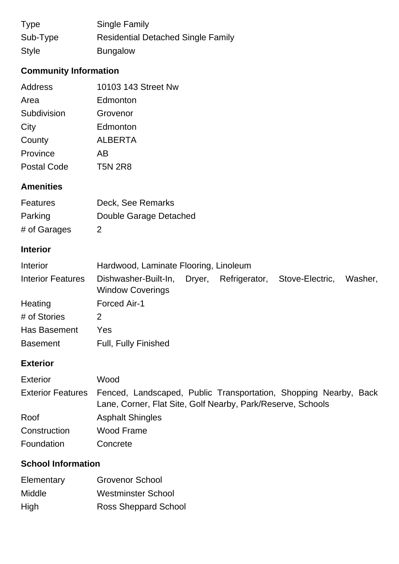| <b>Type</b>  | Single Family                             |
|--------------|-------------------------------------------|
| Sub-Type     | <b>Residential Detached Single Family</b> |
| <b>Style</b> | <b>Bungalow</b>                           |

# **Community Information**

| Address            | 10103 143 Street Nw |
|--------------------|---------------------|
| Area               | Edmonton            |
| Subdivision        | Grovenor            |
| City               | Edmonton            |
| County             | <b>ALBERTA</b>      |
| Province           | AB                  |
| <b>Postal Code</b> | <b>T5N 2R8</b>      |

## **Amenities**

| <b>Features</b> | Deck, See Remarks      |
|-----------------|------------------------|
| Parking         | Double Garage Detached |
| # of Garages    | 2                      |

## **Interior**

| Interior                 | Hardwood, Laminate Flooring, Linoleum                  |  |                               |         |
|--------------------------|--------------------------------------------------------|--|-------------------------------|---------|
| <b>Interior Features</b> | Dishwasher-Built-In, Dryer,<br><b>Window Coverings</b> |  | Refrigerator, Stove-Electric, | Washer, |
| Heating                  | <b>Forced Air-1</b>                                    |  |                               |         |
| # of Stories             |                                                        |  |                               |         |
| Has Basement             | Yes                                                    |  |                               |         |
| <b>Basement</b>          | <b>Full, Fully Finished</b>                            |  |                               |         |

## **Exterior**

| <b>Exterior</b> | Wood                                                                                                                                              |
|-----------------|---------------------------------------------------------------------------------------------------------------------------------------------------|
|                 | Exterior Features Fenced, Landscaped, Public Transportation, Shopping Nearby, Back<br>Lane, Corner, Flat Site, Golf Nearby, Park/Reserve, Schools |
| Roof            | <b>Asphalt Shingles</b>                                                                                                                           |
| Construction    | Wood Frame                                                                                                                                        |
| Foundation      | Concrete                                                                                                                                          |

# **School Information**

| Elementary | <b>Grovenor School</b>      |
|------------|-----------------------------|
| Middle     | <b>Westminster School</b>   |
| High       | <b>Ross Sheppard School</b> |